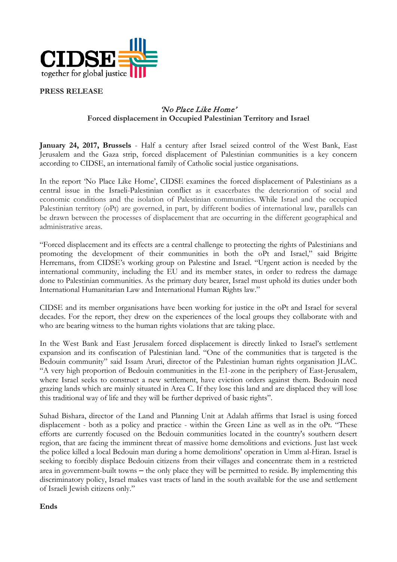

**PRESS RELEASE**

## 'No Place Like Home' **Forced displacement in Occupied Palestinian Territory and Israel**

**January 24, 2017, Brussels** - Half a century after Israel seized control of the West Bank, East Jerusalem and the Gaza strip, forced displacement of Palestinian communities is a key concern according to CIDSE, an international family of Catholic social justice organisations.

In the report 'No Place Like Home', CIDSE examines the forced displacement of Palestinians as a central issue in the Israeli-Palestinian conflict as it exacerbates the deterioration of social and economic conditions and the isolation of Palestinian communities. While Israel and the occupied Palestinian territory (oPt) are governed, in part, by different bodies of international law, parallels can be drawn between the processes of displacement that are occurring in the different geographical and administrative areas.

"Forced displacement and its effects are a central challenge to protecting the rights of Palestinians and promoting the development of their communities in both the oPt and Israel," said Brigitte Herremans, from CIDSE's working group on Palestine and Israel. "Urgent action is needed by the international community, including the EU and its member states, in order to redress the damage done to Palestinian communities. As the primary duty bearer, Israel must uphold its duties under both International Humanitarian Law and International Human Rights law."

CIDSE and its member organisations have been working for justice in the oPt and Israel for several decades. For the report, they drew on the experiences of the local groups they collaborate with and who are bearing witness to the human rights violations that are taking place.

In the West Bank and East Jerusalem forced displacement is directly linked to Israel's settlement expansion and its confiscation of Palestinian land. "One of the communities that is targeted is the Bedouin community" said Issam Aruri, director of the Palestinian human rights organisation JLAC. "A very high proportion of Bedouin communities in the E1-zone in the periphery of East-Jerusalem, where Israel seeks to construct a new settlement, have eviction orders against them. Bedouin need grazing lands which are mainly situated in Area C. If they lose this land and are displaced they will lose this traditional way of life and they will be further deprived of basic rights".

Suhad Bishara, director of the Land and Planning Unit at Adalah affirms that Israel is using forced displacement - both as a policy and practice - within the Green Line as well as in the oPt. "These efforts are currently focused on the Bedouin communities located in the country's southern desert region, that are facing the imminent threat of massive home demolitions and evictions. Just last week the police killed a local Bedouin man during a home demolitions' operation in Umm al-Hiran. Israel is seeking to forcibly displace Bedouin citizens from their villages and concentrate them in a restricted area in government-built towns  $-$  the only place they will be permitted to reside. By implementing this discriminatory policy, Israel makes vast tracts of land in the south available for the use and settlement of Israeli Jewish citizens only."

**Ends**